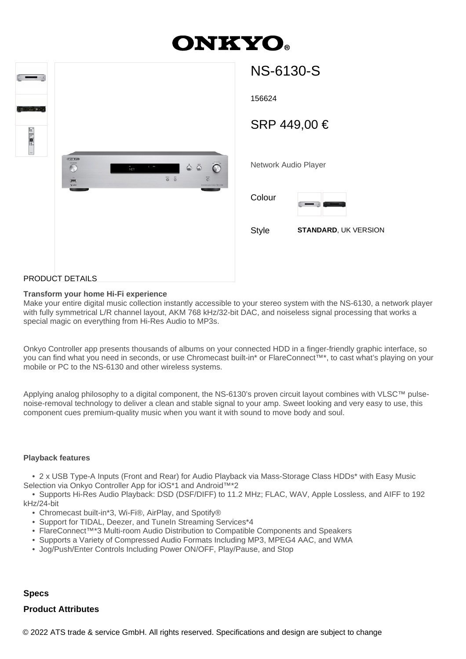# **ONKYO**

| $\frac{1}{2}$<br>$\overline{\phantom{a}}$<br>Е<br><b>PELLER</b><br>O THE O |                        |          |                                                 |                                                                                                                                       |  |
|----------------------------------------------------------------------------|------------------------|----------|-------------------------------------------------|---------------------------------------------------------------------------------------------------------------------------------------|--|
| $\ddot{\cdot}$<br>$\sim$                                                   | $-34.440$<br>E<br>Visc | -<br>Net | $\sim$<br>$\overline{\circ} \ \overline{\circ}$ | $\begin{array}{ccccc}\bullet&\ddot{\circ}&\ddot{\circ}\end{array}$<br>$\overline{C}$<br>$\overline{\circ}$<br>NONDRALDO PARK 745-6130 |  |
|                                                                            |                        |          |                                                 |                                                                                                                                       |  |

| NS-6130-S            |                             |  |  |  |
|----------------------|-----------------------------|--|--|--|
| 156624               |                             |  |  |  |
| SRP 449,00 €         |                             |  |  |  |
| Network Audio Player |                             |  |  |  |
| Colour               |                             |  |  |  |
| Style                | <b>STANDARD, UK VERSION</b> |  |  |  |
|                      |                             |  |  |  |
|                      |                             |  |  |  |

#### PRODUCT DETAILS

#### **Transform your home Hi-Fi experience**

Make your entire digital music collection instantly accessible to your stereo system with the NS-6130, a network player with fully symmetrical L/R channel layout, AKM 768 kHz/32-bit DAC, and noiseless signal processing that works a special magic on everything from Hi-Res Audio to MP3s.

Onkyo Controller app presents thousands of albums on your connected HDD in a finger-friendly graphic interface, so you can find what you need in seconds, or use Chromecast built-in\* or FlareConnect™\*, to cast what's playing on your mobile or PC to the NS-6130 and other wireless systems.

Applying analog philosophy to a digital component, the NS-6130's proven circuit layout combines with VLSC™ pulsenoise-removal technology to deliver a clean and stable signal to your amp. Sweet looking and very easy to use, this component cues premium-quality music when you want it with sound to move body and soul.

#### **Playback features**

 • 2 x USB Type-A Inputs (Front and Rear) for Audio Playback via Mass-Storage Class HDDs\* with Easy Music Selection via Onkyo Controller App for iOS\*1 and Android™\*2

 • Supports Hi-Res Audio Playback: DSD (DSF/DIFF) to 11.2 MHz; FLAC, WAV, Apple Lossless, and AIFF to 192 kHz/24-bit

- Chromecast built-in\*3, Wi-Fi®, AirPlay, and Spotify®
- Support for TIDAL, Deezer, and TuneIn Streaming Services\*4
- FlareConnect™\*3 Multi-room Audio Distribution to Compatible Components and Speakers
- Supports a Variety of Compressed Audio Formats Including MP3, MPEG4 AAC, and WMA
- Jog/Push/Enter Controls Including Power ON/OFF, Play/Pause, and Stop

### **Specs**

## **Product Attributes**